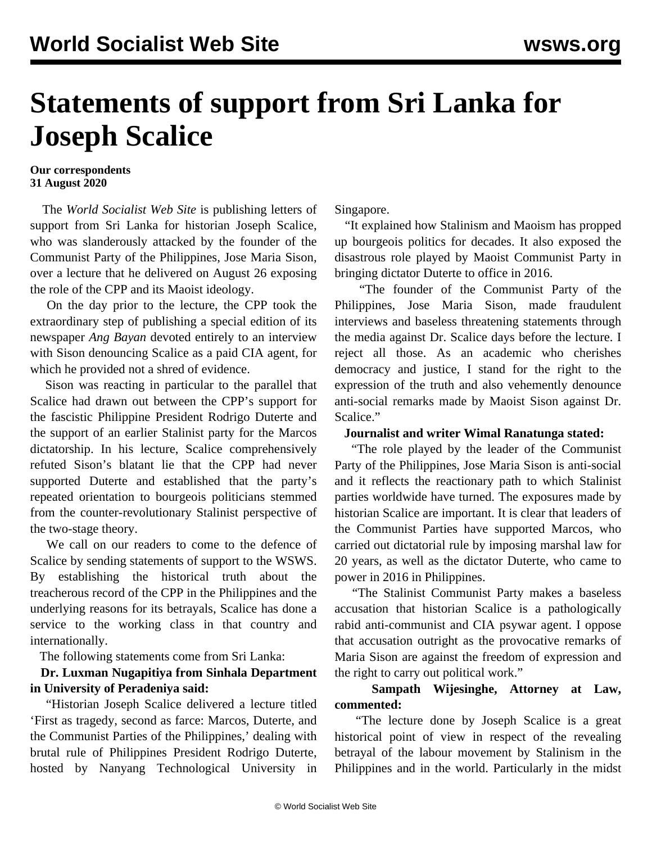# **Statements of support from Sri Lanka for Joseph Scalice**

#### **Our correspondents 31 August 2020**

 The *World Socialist Web Site* is publishing letters of support from Sri Lanka for historian Joseph Scalice, who was slanderously attacked by the founder of the Communist Party of the Philippines, Jose Maria Sison, over a lecture that he delivered on August 26 exposing the role of the CPP and its Maoist ideology.

 On the day prior to the lecture, the CPP took the extraordinary step of publishing a special edition of its newspaper *Ang Bayan* devoted entirely to an interview with Sison denouncing Scalice as a paid CIA agent, for which he provided not a shred of evidence.

 Sison was reacting in particular to the parallel that Scalice had drawn out between the CPP's support for the fascistic Philippine President Rodrigo Duterte and the support of an earlier Stalinist party for the Marcos dictatorship. In his lecture, Scalice comprehensively refuted Sison's blatant lie that the CPP had never supported Duterte and established that the party's repeated orientation to bourgeois politicians stemmed from the counter-revolutionary Stalinist perspective of the two-stage theory.

 We call on our readers to come to the defence of Scalice by [sending](/contact) statements of support to the WSWS. By establishing the historical truth about the treacherous record of the CPP in the Philippines and the underlying reasons for its betrayals, Scalice has done a service to the working class in that country and internationally.

The following statements come from Sri Lanka:

## **Dr. Luxman Nugapitiya from Sinhala Department in University of Peradeniya said:**

 "Historian Joseph Scalice delivered a lecture titled 'First as tragedy, second as farce: Marcos, Duterte, and the Communist Parties of the Philippines,' dealing with brutal rule of Philippines President Rodrigo Duterte, hosted by Nanyang Technological University in

Singapore.

 "It explained how Stalinism and Maoism has propped up bourgeois politics for decades. It also exposed the disastrous role played by Maoist Communist Party in bringing dictator Duterte to office in 2016.

 "The founder of the Communist Party of the Philippines, Jose Maria Sison, made fraudulent interviews and baseless threatening statements through the media against Dr. Scalice days before the lecture. I reject all those. As an academic who cherishes democracy and justice, I stand for the right to the expression of the truth and also vehemently denounce anti-social remarks made by Maoist Sison against Dr. Scalice."

### **Journalist and writer Wimal Ranatunga stated:**

 "The role played by the leader of the Communist Party of the Philippines, Jose Maria Sison is anti-social and it reflects the reactionary path to which Stalinist parties worldwide have turned. The exposures made by historian Scalice are important. It is clear that leaders of the Communist Parties have supported Marcos, who carried out dictatorial rule by imposing marshal law for 20 years, as well as the dictator Duterte, who came to power in 2016 in Philippines.

 "The Stalinist Communist Party makes a baseless accusation that historian Scalice is a pathologically rabid anti-communist and CIA psywar agent. I oppose that accusation outright as the provocative remarks of Maria Sison are against the freedom of expression and the right to carry out political work."

## **Sampath Wijesinghe, Attorney at Law, commented:**

 "The lecture done by Joseph Scalice is a great historical point of view in respect of the revealing betrayal of the labour movement by Stalinism in the Philippines and in the world. Particularly in the midst